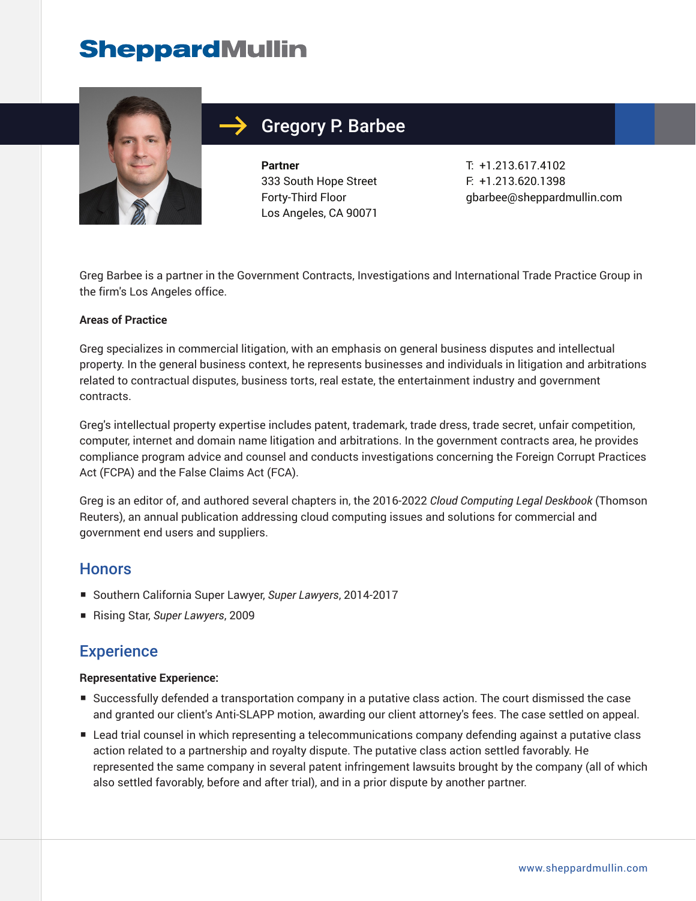

## Gregory P. Barbee

**Partner** 333 South Hope Street Forty-Third Floor Los Angeles, CA 90071 T: +1.213.617.4102 F: +1.213.620.1398 gbarbee@sheppardmullin.com

Greg Barbee is a partner in the Government Contracts, Investigations and International Trade Practice Group in the firm's Los Angeles office.

#### **Areas of Practice**

Greg specializes in commercial litigation, with an emphasis on general business disputes and intellectual property. In the general business context, he represents businesses and individuals in litigation and arbitrations related to contractual disputes, business torts, real estate, the entertainment industry and government contracts.

Greg's intellectual property expertise includes patent, trademark, trade dress, trade secret, unfair competition, computer, internet and domain name litigation and arbitrations. In the government contracts area, he provides compliance program advice and counsel and conducts investigations concerning the Foreign Corrupt Practices Act (FCPA) and the False Claims Act (FCA).

Greg is an editor of, and authored several chapters in, the 2016-2022 *Cloud Computing Legal Deskbook* (Thomson Reuters), an annual publication addressing cloud computing issues and solutions for commercial and government end users and suppliers.

## **Honors**

- Southern California Super Lawyer, *Super Lawyers*, 2014-2017
- Rising Star, *Super Lawyers*, 2009

## **Experience**

#### **Representative Experience:**

- Successfully defended a transportation company in a putative class action. The court dismissed the case and granted our client's Anti-SLAPP motion, awarding our client attorney's fees. The case settled on appeal.
- Lead trial counsel in which representing a telecommunications company defending against a putative class action related to a partnership and royalty dispute. The putative class action settled favorably. He represented the same company in several patent infringement lawsuits brought by the company (all of which also settled favorably, before and after trial), and in a prior dispute by another partner.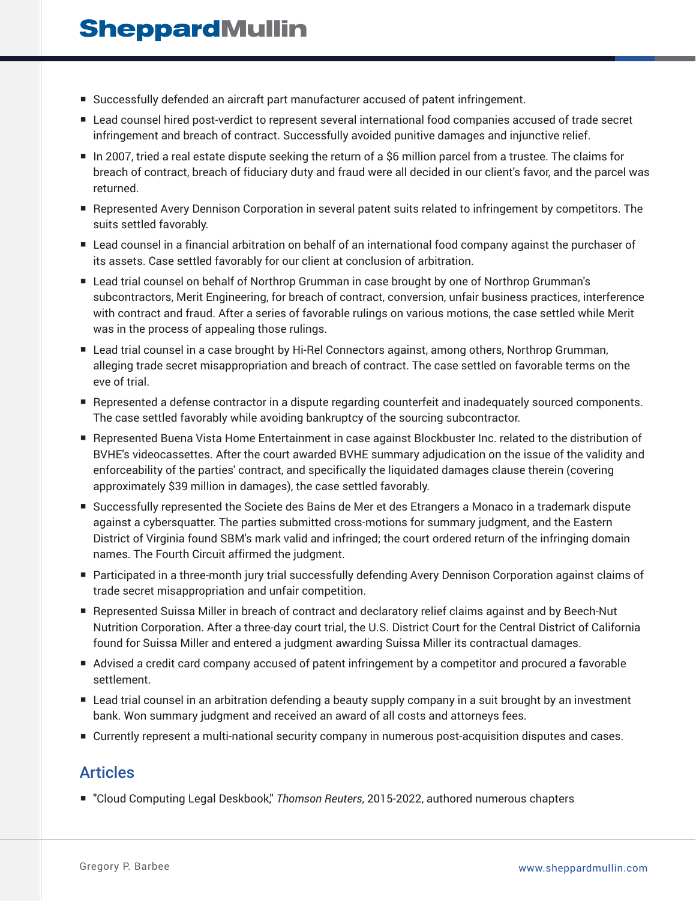- Successfully defended an aircraft part manufacturer accused of patent infringement.
- Lead counsel hired post-verdict to represent several international food companies accused of trade secret infringement and breach of contract. Successfully avoided punitive damages and injunctive relief.
- In 2007, tried a real estate dispute seeking the return of a \$6 million parcel from a trustee. The claims for breach of contract, breach of fiduciary duty and fraud were all decided in our client's favor, and the parcel was returned.
- Represented Avery Dennison Corporation in several patent suits related to infringement by competitors. The suits settled favorably.
- Lead counsel in a financial arbitration on behalf of an international food company against the purchaser of its assets. Case settled favorably for our client at conclusion of arbitration.
- Lead trial counsel on behalf of Northrop Grumman in case brought by one of Northrop Grumman's subcontractors, Merit Engineering, for breach of contract, conversion, unfair business practices, interference with contract and fraud. After a series of favorable rulings on various motions, the case settled while Merit was in the process of appealing those rulings.
- Lead trial counsel in a case brought by Hi-Rel Connectors against, among others, Northrop Grumman, alleging trade secret misappropriation and breach of contract. The case settled on favorable terms on the eve of trial.
- Represented a defense contractor in a dispute regarding counterfeit and inadequately sourced components. The case settled favorably while avoiding bankruptcy of the sourcing subcontractor.
- Represented Buena Vista Home Entertainment in case against Blockbuster Inc. related to the distribution of BVHE's videocassettes. After the court awarded BVHE summary adjudication on the issue of the validity and enforceability of the parties' contract, and specifically the liquidated damages clause therein (covering approximately \$39 million in damages), the case settled favorably.
- Successfully represented the Societe des Bains de Mer et des Etrangers a Monaco in a trademark dispute against a cybersquatter. The parties submitted cross-motions for summary judgment, and the Eastern District of Virginia found SBM's mark valid and infringed; the court ordered return of the infringing domain names. The Fourth Circuit affirmed the judgment.
- Participated in a three-month jury trial successfully defending Avery Dennison Corporation against claims of trade secret misappropriation and unfair competition.
- Represented Suissa Miller in breach of contract and declaratory relief claims against and by Beech-Nut Nutrition Corporation. After a three-day court trial, the U.S. District Court for the Central District of California found for Suissa Miller and entered a judgment awarding Suissa Miller its contractual damages.
- Advised a credit card company accused of patent infringement by a competitor and procured a favorable settlement.
- Lead trial counsel in an arbitration defending a beauty supply company in a suit brought by an investment bank. Won summary judgment and received an award of all costs and attorneys fees.
- Currently represent a multi-national security company in numerous post-acquisition disputes and cases.

## Articles

■ "Cloud Computing Legal Deskbook," Thomson Reuters, 2015-2022, authored numerous chapters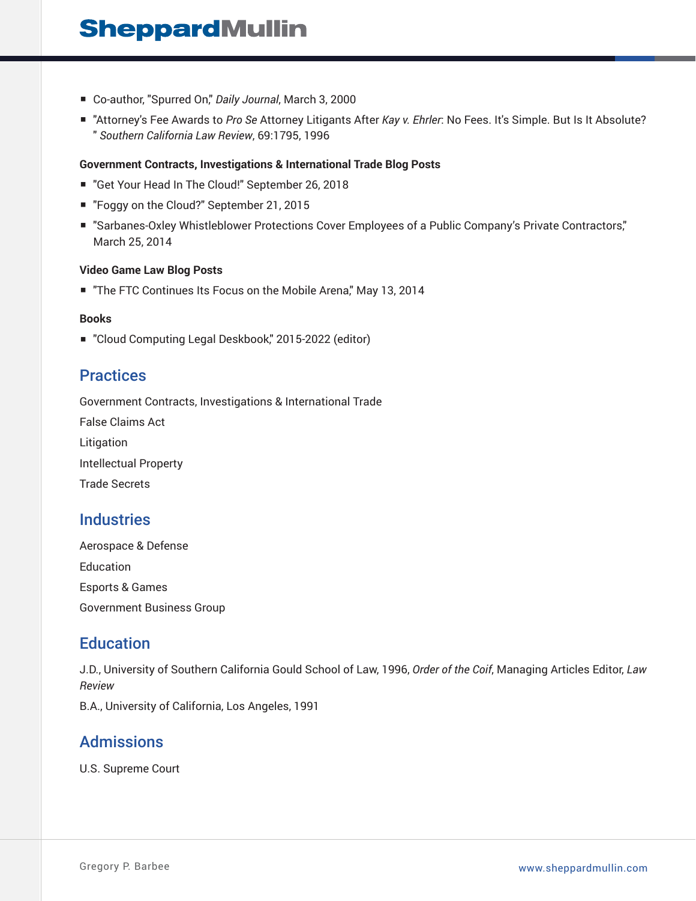- Co-author, "Spurred On," Daily Journal, March 3, 2000
- "Attorney's Fee Awards to *Pro Se* Attorney Litigants After *Kay v. Ehrler*: No Fees. It's Simple. But Is It Absolute? " *Southern California Law Review*, 69:1795, 1996

#### **Government Contracts, Investigations & International Trade Blog Posts**

- "Get Your Head In The Cloud!" September 26, 2018
- "Foggy on the Cloud?" September 21, 2015
- "Sarbanes-Oxley Whistleblower Protections Cover Employees of a Public Company's Private Contractors," March 25, 2014

#### **Video Game Law Blog Posts**

■ "The FTC Continues Its Focus on the Mobile Arena," May 13, 2014

#### **Books**

■ "Cloud Computing Legal Deskbook," 2015-2022 (editor)

## **Practices**

Government Contracts, Investigations & International Trade

False Claims Act Litigation Intellectual Property Trade Secrets

## **Industries**

Aerospace & Defense Education Esports & Games Government Business Group

## **Education**

J.D., University of Southern California Gould School of Law, 1996, *Order of the Coif*, Managing Articles Editor, *Law Review*

B.A., University of California, Los Angeles, 1991

## Admissions

U.S. Supreme Court